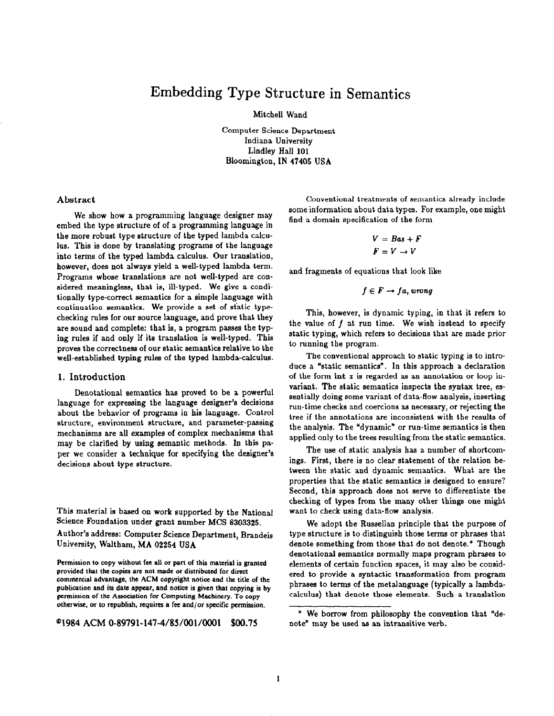# Embedding Type Structure in Semantics

Mitchell Wand

Computer Science Department Indiana University Lindley Hall 101 Bloomington, IN 47405 USA

#### Abstract

We show how a programming language designer may embed the type structure of of a programming language in the more robust type structure of the typed lambda calculus. This is done by translating programs of the language into terms of the typed lambda calculus. Our translation, however, does not always yield a well-typed lambda term. Programs whose translations are not well-typed are considered meaningless, that is, ill-typed. We give a conditionally type-correct semantics for a simple language with continuation semantics. We provide a set of static typechecking rules for our source language, and prove that they are sound and complete: that is, a program passes the typing rules if and only if its translation is well-typed. This proves the correctness of our static semantics relative to the well-established typing rules of the typed lambda-calculus.

### 1. Introduction

Denotational semantics has proved to be a powerful language for expressing the language designer's decisions about the behavior of programs in his language. Control structure, environment structure, and parameter-passing mechanisms are all examples of complex mechanisms that may be clarified by using semantic methods. In this paper we consider a technique for specifying the designer's decisions about type structure.

This material is based on work supported by the National Science Foundation under grant number MCS 8303325,

Author's address: Computer Science Department, Brandeis University, Waltham, MA 02254 USA

Permission to copy without fee all or part of this material is granted provided that the copies are not made or distributed for direct commercial advantage, the ACM copyright notice and the title of the publication and its date appear, and notice is given that copying is by permission of the Association for Computing Machinery. To copy otherwise, or to republish, requires a fee and/or specific permission.

al984 ACM O-89791-147-4/85/001/ooO1 \$00.75

Conventional treatments of semantics already include some information about data types. For example, one might find a domain specification of the form

$$
V = Bas + F
$$

$$
F = V \rightarrow V
$$

and fragments of equations that look like

$$
f\in F\to fa, wrong
$$

the value of  $f$  at run time. We wish instead to specify This, however, is dynamic typing, in that it refers to static typing, which refers to decisions that are made prior to running the program.

The conventional approach to static typing is to introduce a %tatic semantics". In this approach a declaration of the form int z is regarded as an annotation or loop invariant. The static semantics inspects the syntax tree, essentially doing some variant of data-flow analysis, inserting run-time checks and coercions as necessary, or rejecting the tree if the annotations are inconsistent with the results of the analysis. The "dynamic" or run-time semantics is then applied only to the trees resulting from the static semantics.

The use of static analysis has a number of shortcomings. First, there is no clear statement of the relation between the static and dynamic semantics. What are the properties that the static semantics is designed to ensure? Second, this approach does not serve to differentiate the checking of types from the many other things one might want to check using data-flow analysis.

We adopt the Russelian principle that the purpose of type structure is to distinguish those terms or phrases that denote something from those that do not denote.\* Though denotational semantics normally maps program phrases to elements of certain function spaces, it may also be considered to provide a syntactic transformation from program phrases to terms of the metalanguage (typically a lambdacalculus) that denote those elements. Such a translation

<sup>\*</sup> We borrow from philosophy the convention that "denote" may be used as an intransitive verb.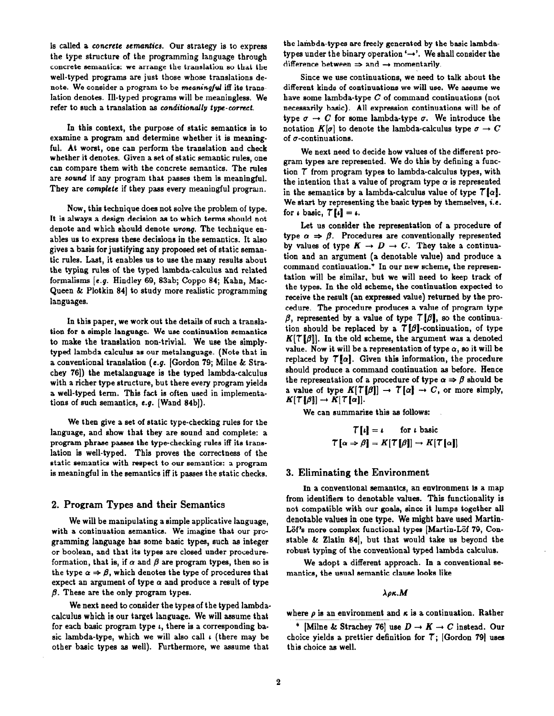is called a concrete semantics. Our strategy is to express the type structure of the programming language through concrete semantics: we arrange the translation so that the well-typed programs are just those whose translations denote. We consider a program to be meaningful iff its translation denotes. Ill-typed programs will be meaningless. We refer to such a translation as conditionally type-correct.

In this context, the purpose of static semantics is to examine a program and determine whether it is meaningful. At worst, one can perform the translation and check whether it denotes. Given a set of static semantic rules, one can compare them with the concrete semantics. The rules are sound if any program that passes them is meaningful. They are complete if they pass every meaningful program.

Now, this technique does not solve the problem of type. It is always a design decision as to which terms should not denote and which should denote wrong. The technique enables us to express these decisions in the semantics. It also gives a basis for justifying any proposed set of static semantic rules. Last, it enables us to use the many results about the typing rules of the typed lambda-calculus and related formalisms [e.g. Hindley 69, 83ab; Coppo 84; Kahn, Mac-Queen & Plotkin 84 to study more realistic programming languages.

In this paper, we work out the details of such a translation for a simple language. We use continuation semantics to make the translation non-trivial. We use the simplytyped lambda calculus as our metalanguage. (Note that in a conventional translation (e.g. [Gordon 79; Milne & Strachey 76) the metalanguage is the typed lambda-calculus with a richer type structure, but there every program yields a well-typed term. This fact is often used in implementations of such semantics, e.g. [Wand 84b]).

We then give a set of static type-checking rules for the language, and show that they are sound and complete: a program phrase passes the type-checking rules iff its translation is well-typed. This proves the correctness of the static semantics with respect to our semantics: a program is meaningful in the semantics iff it passes the static checks,

## 2. Program Types and their Semantics

We will be manipulating a simple applicative language, with a continuation semantics. We imagine that our programming language has some basic types, such as integer or boolean, and that its types are closed under procedureformation, that is, if  $\alpha$  and  $\beta$  are program types, then so is the type  $\alpha \Rightarrow \beta$ , which denotes the type of procedures that expect an argument of type  $\alpha$  and produce a result of type  $\beta$ . These are the only program types.

We next need to consider the types of the typed lambdacalculus which is our target language. We will assume that for each basic program type  $\iota$ , there is a corresponding basic lambda-type, which we will also call  $\iota$  (there may be other basic types as well). Furthermore, we assume that

the lambda-types are freely generated by the basic lambdatypes under the binary operation  $4 \rightarrow$ '. We shall consider the difference between  $\Rightarrow$  and  $\rightarrow$  momentarily.

Since we use continuations, we need to talk about the different kinds of continuations we will use. We assume we have some lambda-type  $C$  of command continuations (not necessarily basic). All expression continuations will be of type  $\sigma \to C$  for some lambda-type  $\sigma$ . We introduce the notation  $K[\sigma]$  to denote the lambda-calculus type  $\sigma \to C$ of  $\sigma$ -continuations.

We next need to decide how values of the different program types are represented. We do this by defining a function T from program types to lambda-calculus types, with the intention that a value of program type  $\alpha$  is represented in the semantics by a lambda-calculus value of type  $\tau[\alpha]$ . We start by representing the basic types by themselves, i.e. for  $\iota$  basic,  $\mathcal{T}[t] = \iota$ .

Let us consider the representation of a procedure of type  $\alpha \Rightarrow \beta$ . Procedures are conventionally represented by values of type  $K \to D \to C$ . They take a continuation and an argument (a denotable value) and produce a command continuation.\* In our new scheme, the representation will be similar, but we will need to keep track of the types. In the old scheme, the continuation expected to receive the result (an expressed value) returned by the procedure. The procedure produces a value of program type  $\beta$ , represented by a value of type  $\mathcal{T}[\beta]$ , so the continuation should be replaced by a  $\mathcal{T}[\beta]$ -continuation, of type  $K[\mathcal{T}[\beta]]$ . In the old scheme, the argument was a denoted value. Now it will be a representation of type  $\alpha$ , so it will be replaced by  $\mathcal{T}[\![\alpha]\!]$ . Given this information, the procedure should produce a command continuation as before. Hence the representation of a procedure of type  $\alpha \Rightarrow \beta$  should be a value of type  $K[\mathcal{T}[\beta]] \to \mathcal{T}[\alpha] \to C$ , or more simply,  $K[\mathcal{T}[\beta]] \rightarrow K[\mathcal{T}[\alpha]].$ 

We can summarize this as follows:

$$
T[\iota] = \iota \quad \text{for } \iota \text{ basic}
$$

$$
T[\alpha \Rightarrow \beta] = K[T[\beta]] \rightarrow K[T[\alpha]]
$$

## 3. Eliminating the Environment

In a conventional semantics, an environment is a map from identifiers to denotable values. This functionality is not compatible with our goals, since it lumps together all denotable values in one type. We might have used Martin-Löf's more complex functional types [Martin-Löf 79, Constable & Zlatin 84], but that would take us beyond the robust typing of the conventional typed lambda calculus.

We adopt a different approach. In a conventional semantics, the usual semantic clause looks like

 $\lambda$ pk. $M$ 

where  $\rho$  is an environment and  $\kappa$  is a continuation. Rather

\* [Milne & Strachey 76] use  $D \to K \to C$  instead. Our choice yields a prettier definition for  $7$ ; [Gordon 79] uses this choice as well.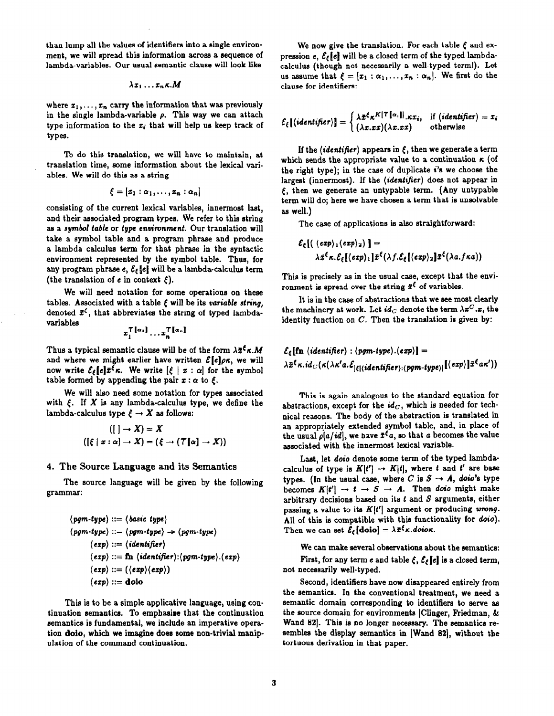than lump all the values of identifiers into a single environment, we will spread thie information acroaa a sequence of lambda-variables. Our usual semantic clause will look like

$$
\lambda x_1 \ldots x_n \kappa \ldotp M
$$

where  $x_1, \ldots, x_n$  carry the information that was previously in the single lambda-variable  $\rho$ . This way we can attach type information to the  $x_i$  that will help us keep track of types.

To do this translation, we will have to maintain, at translation time, some information about the lexical variables. We will do this as a string

$$
\xi = [x_1 : \alpha_1, \ldots, x_n : \alpha_n]
$$

consisting of the current lexical variables, innermost last, and their associated program types. We refer to this string as a symbol table or type environment. Our translation will take a symbol table and a program phrase and produce a lambda calculus term for that phrase in the syntactic environment represented by the symbol table. Thus, for any program phrase e,  $\mathcal{E}_{\xi}[\epsilon]$  will be a lambda-calculus term (the translation of  $e$  in context  $\xi$ ).

We will need notation for some operations on these tables. Associated with a table  $\xi$  will be its variable string, denoted  $\bar{x}^{\zeta}$ , that abbreviates the string of typed lambdavariables

$$
x_1^{\tau[a_1]}\ldots x_n^{\tau[a_n]}
$$

Thus a typical semantic clause will be of the form  $\lambda \bar{z}^{\xi} \kappa \cdot M$ and where we might earlier have written  $\mathcal{E}[\epsilon]\rho\kappa$ , we will now write  $\mathcal{E}_{\xi}[e]\bar{x}^{\xi}\kappa$ . We write  $[\xi \mid x : \alpha]$  for the symbol table formed by appending the pair  $x : \alpha$  to  $\xi$ .

We will also need some notation for types associated with  $\xi$ . If X is any lambda-calculus type, we define the lambda-calculus type  $\xi \to X$  as follows:

$$
([ \ ] \rightarrow X) = X
$$

$$
([\xi \mid x : \alpha] \rightarrow X) = (\xi \rightarrow (\mathcal{T}[\alpha] \rightarrow X))
$$

#### 4. The Source Language and its Semantics

The source language will be given by the following grammar:

$$
\langle pgm-type \rangle ::= \langle basic\ type \rangle
$$
  
\n
$$
\langle pgm-type \rangle ::= \langle pgm-type \rangle \Rightarrow \langle pgm-type \rangle
$$
  
\n
$$
\langle exp \rangle ::= \langle identifier \rangle
$$
  
\n
$$
\langle exp \rangle ::= \text{fn} \langle identifier \rangle : \langle pgm-type \rangle . \langle exp \rangle
$$
  
\n
$$
\langle exp \rangle ::= \langle \langle exp \rangle \langle exp \rangle)
$$
  
\n
$$
\langle exp \rangle ::= \text{doio}
$$

This is to be a simple applicative language, using continuation semantics. To emphasise that the continuation semantics is fundamental, we include an imperative operation doio, which we imagine doea some non-trivial manipulation of the command continuation.

We now give the translation. For each table  $\xi$  and expression e,  $\mathcal{E}_{\xi}[\epsilon]$  will be a closed term of the typed lambdacalculus (though not necessarily a well-typed term!). Let us assume that  $\boldsymbol{\xi} = [\boldsymbol{x}_1 : \alpha_1, \ldots, \boldsymbol{x}_n : \alpha_n]$ . We first do the clause for identifiers:

$$
\mathcal{E}_{\xi}\left[\langle identifier \rangle\right] = \begin{cases} \lambda \bar{x}^{\xi} \kappa^{K[\tau[\alpha, \mathbf{I}], \kappa x_i, & \text{if } \langle identifier \rangle = x_i \\ (\lambda \bar{x} \cdot \bar{x}) (\lambda \bar{x} \cdot \bar{x}) & \text{otherwise} \end{cases}
$$

If the (identifier) appears in  $\xi$ , then we generate a term which sends the appropriate value to a continuation  $\kappa$  (of the right type); in the case of duplicate i's we choose the largest (innermost). If the (identifier) does not appear in  $\xi$ , then we generate an untypable term. (Any untypable term will do; here we have chosen a term that is unsolvable as well.)

The case of applications is also straightforward:

$$
\mathcal{E}_{\xi}\left[\langle \langle exp \rangle_1 \langle exp \rangle_2 \rangle \right] = \\ \lambda \tilde{x}^{\xi} \kappa. \mathcal{E}_{\xi}\left[\langle exp \rangle_1 \right] \tilde{x}^{\xi} (\lambda f. \mathcal{E}_{\xi}\left[\langle exp \rangle_2 \right] \tilde{x}^{\xi} (\lambda a.f\kappa a))
$$

This is precisely as in the usual case, except that the environment is spread over the string  $\bar{x}^{\xi}$  of variables.

It is in the case of abstractions that we see most clearly the machinery at work. Let  $id_C$  denote the term  $\lambda x^C.x$ , the identity function on  $C$ . Then the translation is given by:

$$
\mathcal{E}_{\xi}[\text{fn} \ (identityier) : (pgm-type).(exp)] =
$$
  

$$
\lambda \bar{x}^{\xi} \kappa.id_{C}(\kappa(\lambda \kappa'a.\mathcal{E}_{|\xi| (identityier);(pgm-type))}[(exp)]\bar{x}^{\xi} a \kappa'))
$$

This is again analogous to the standard equation for abstractions, except for the  $id<sub>C</sub>$ , which is needed for technical reasons. The body of the abstraction is translated in an appropriately extended symbol table, and, in place of the usual  $\rho[a/id]$ , we have  $\bar{x}^{\epsilon}a$ , so that a becomes the value associated with the innermost lexical variable.

Last, let doio denote some term of the typed lambdacalculus of type is  $K[t'] \rightarrow K[t]$ , where t and t' are base types. (In the usual case, where C is  $S \rightarrow A$ , doio's type becomes  $K[t'] \rightarrow t \rightarrow S \rightarrow A$ . Then doto might make arbitrary decisions based on its  $t$  and  $S$  arguments, either passing a value to its  $K[t']$  argument or producing wrong. All of this is compatible with this functionality for doio). Then we can set  $\mathcal{E}_{\xi}[\text{doio}] = \lambda \bar{x}^{\xi} \kappa \cdot \text{doio}\kappa$ .

We can make several observations about the semantics:

First, for any term e and table  $\xi$ ,  $\xi_{\xi}[e]$  is a closed term, not necessarily well-typed.

Second, identifiers have now disappeared entirely from the semantics. In the conventional treatment, we need a semantic domain corresponding to identifiers to serve as the source domain for environments [Clinger, Friedman,  $\&$ Wand 82. This is no longer necessary. The semantics resembles the display semantics in [Wand 82], without the tortuous derivation in that paper.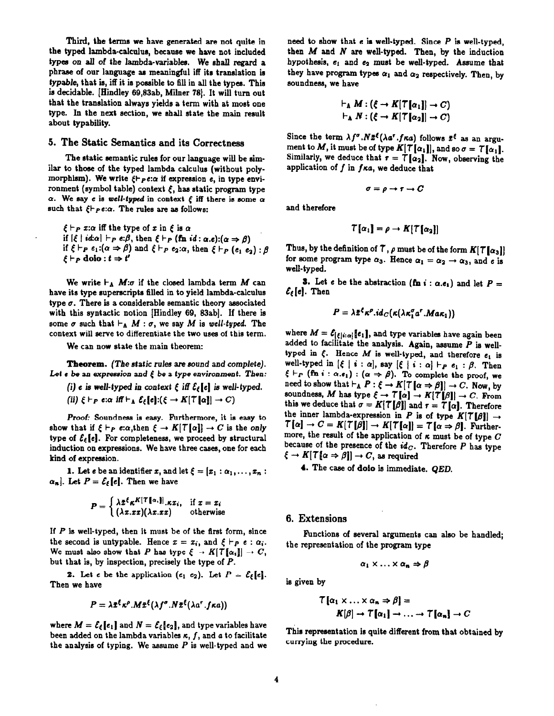Third, the terms we have generated are not quite in the typed lambda-calculus, because we have not included types on all of the lambda-variables. We shall regard a phrase of our language as meaningful iff ita translation is typable, that is, iff it is possible to fill in all the types. This is decidable. [Hindley 69,83ab, Milner 78]. It will turn out that the translation always yields a term with at most one type. In the next section, we shall state the main result about typability.

## 5. The Static Semantics and its Correctness

The static semantic rules for our language will be similar to those of the typed lambda calculus (without poly morphism). We write  $\xi \vdash p \in \alpha$  if expression e, in type environment (symbol table) context  $\xi$ , has static program type  $\alpha$ . We say e is well-typed in context  $\xi$  iff there is some  $\alpha$ such that  $\xi \vdash_P e:\alpha$ . The rules are as follows:

$$
\begin{aligned}\n\xi \vdash_P x:\alpha \text{ iff the type of } x \text{ in } \xi \text{ is } \alpha \\
\text{if } |\xi| \text{ id:}\alpha| \vdash_P e:\beta, \text{ then } \xi \vdash_P (\text{fn id}: \alpha.e): (\alpha \Rightarrow \beta) \\
\text{if } \xi \vdash_P e_1: (\alpha \Rightarrow \beta) \text{ and } \xi \vdash_P e_2: \alpha, \text{ then } \xi \vdash_P (e_1 e_2): \beta \\
\xi \vdash_P \text{ doio}: t \Rightarrow t'\n\end{aligned}
$$

We write  $\vdash_{A} M:\sigma$  if the closed lambda term M can have its type superscripts filled in to yield lambda-calculus type  $\sigma$ . There is a considerable semantic theory associated with this syntactic notion [Hindley 69, S3ab]. If there is some  $\sigma$  such that  $\vdash_A M : \sigma$ , we say M is well-typed. The context will serve to differentiate the two uses of this term.

We can now state the main theorem:

Theorem. (The static rules are sound and complete). Let  $e$  be an expression and  $\xi$  be a type environment. Then:

(i) e is well-typeed in context 
$$
\xi
$$
 iff  $\mathcal{E}_{\xi}[e]$  is well-typeed. (ii)  $\xi \vdash_{P} e$ :  $\alpha$  iff  $\vdash_{A} \mathcal{E}_{\xi}[e] : (\xi \to K[T[\alpha]] \to C)$ 

Proof: Soundness is easy. Furthermore, it is easy to show that if  $\xi \vdash_P e:\alpha$ , then  $\xi \to K[T[\alpha]] \to C$  is the only type of  $\mathcal{E}_{\epsilon}[e]$ . For completeness, we proceed by structural induction on expressions. We have three cases, one for each kind of expression.

1. Let e be an identifier x, and let  $\xi=[x_1 : \alpha_1,\ldots,x_n:$  $\alpha_n$ . Let  $P = \mathcal{E}_{\xi}[e]$ . Then we have

$$
P = \begin{cases} \lambda \bar{x}^{\xi} \kappa^{K[T[a, \cdot]]} \cdot \kappa x_i, & \text{if } x = x_i \\ (\lambda x . x x)(\lambda x . x x) & \text{otherwise} \end{cases}
$$

If P is well-typed, then it must be of the first form, since the second is untypable. Hence  $x = x_i$ , and  $\xi \vdash_P e : \alpha_i$ . We must also show that P has type  $\xi \to K[T[\alpha_i]] \to C$ , but that is, by inspection, precisely the type of P.

2. Let e be the application (e<sub>1</sub> e<sub>2</sub>). Let  $P = \mathcal{E}_{\xi}[e].$ Then we have

$$
P = \lambda \bar{x}^{\xi} \kappa^{\rho} . M \bar{x}^{\xi} (\lambda f^{\sigma} . N \bar{x}^{\xi} (\lambda a^{\tau} . f \kappa a))
$$

where  $M = \mathcal{E}_{\xi}[e_1]$  and  $N = \mathcal{E}_{\xi}[e_2]$ , and type variables have been added on the lambda variables  $\kappa$ ,  $f$ , and  $a$  to facilitate the analysis of typing. We assume  $P$  is well-typed and we need to show that  $e$  is well-typed. Since  $P$  is well-typed, then  $M$  and  $N$  are well-typed. Then, by the induction hypothesis,  $e_1$  and  $e_2$  must be well-typed. Assume that they have program types  $\alpha_1$  and  $\alpha_2$  respectively. Then, by soundness, we have

$$
\vdash_{\mathbf{A}} M: (\xi \to K[T[\alpha_1]] \to C)
$$
  
\n
$$
\vdash_{\mathbf{A}} N: (\xi \to K[T[\alpha_2]] \to C)
$$

Since the term  $\lambda f^{\sigma}$ .N $\bar{x}^{\xi}(\lambda a^{\tau} f_{\kappa a})$  follows  $\bar{x}^{\xi}$  as an argument to M, it must be of type  $K[T[\alpha_1]]$ , and so  $\sigma = T[\alpha_1]$ . Similarly, we deduce that  $\tau = \tau[\alpha_2]$ . Now, observing the application of  $f$  in  $f$ ra, we deduce that

$$
\sigma = \rho \to \tau \to C
$$

and therefore

$$
\mathcal{T}[\alpha_1] = \rho \rightarrow K[\mathcal{T}[\alpha_2]]
$$

Thus, by the definition of  $\tau$ ,  $\rho$  must be of the form  $K[\tau[\alpha_3]]$ for some program type  $\alpha_3$ . Hence  $\alpha_1 = \alpha_2 \rightarrow \alpha_3$ , and e is well-typed.

3. Let e be the abstraction (fn  $i : \alpha.e_1$ ) and let  $P =$  $\mathcal{E}_{\xi}$ [e]. Then

$$
P = \lambda \bar{x}^{\xi} \kappa^{\rho} \cdot id_{C}(\kappa(\lambda \kappa_1^{\sigma} a^{\tau} \cdot \mathbf{Max}_1))
$$

where  $M = \mathcal{E}_{[\xi|i;\alpha]}[\![e_1]\!]$ , and type variables have again been added to facilitate the analysis. Again, assume  $P$  is welltyped in  $\xi$ . Hence  $M$  is well-typed, and therefore  $e_i$  is well-typed in  $[\xi \mid i : \alpha]$ , say  $[\xi \mid i : \alpha]$   $\vdash_{P} e_{1} : \beta$ . Then  $\xi \vdash_{P} (\mathbf{fn} : : \alpha.e_1) : (\alpha \Rightarrow \beta)$ . To complete the proof, we need to show that  $\vdash_{\Lambda} P : \xi \to K[T[\alpha \Rightarrow \beta]] \to C$ . Now, by soundness, M has type  $\xi \to \tau[\alpha] \to K[\tau[\beta]] \to C$ . From this we deduce that  $\sigma = K[T[\beta]]$  and  $\tau = \overline{T}[\alpha]$ . Therefore the inner lambda-expression in P is of type  $K[T[\beta]] \rightarrow$  $\tau[\alpha] \rightarrow C = K[\tau[\beta]] \rightarrow K[\tau[\alpha]] = \tau[\alpha \Rightarrow \beta]$ . Furthermore, the result of the application of  $\kappa$  must be of type  $C$ because of the presence of the  $id_C$ . Therefore  $P$  has type  $\xi \to K[T[\alpha \Rightarrow \beta]] \to C$ , as required

4. The case of doio is immediate. QED.

# 6. Extensions

Functions of several arguments can also be handled; the representation of the program type

$$
\alpha_1 \times \ldots \times \alpha_n \Rightarrow \beta
$$

is given by

$$
\mathcal{T}[\alpha_1 \times \ldots \times \alpha_n \Rightarrow \beta] =
$$

$$
K[\beta] \rightarrow \mathcal{T}[\alpha_1] \rightarrow \ldots \rightarrow \mathcal{T}[\alpha_n] \rightarrow C
$$

This representation is quite different from that obtained by currying the procedure.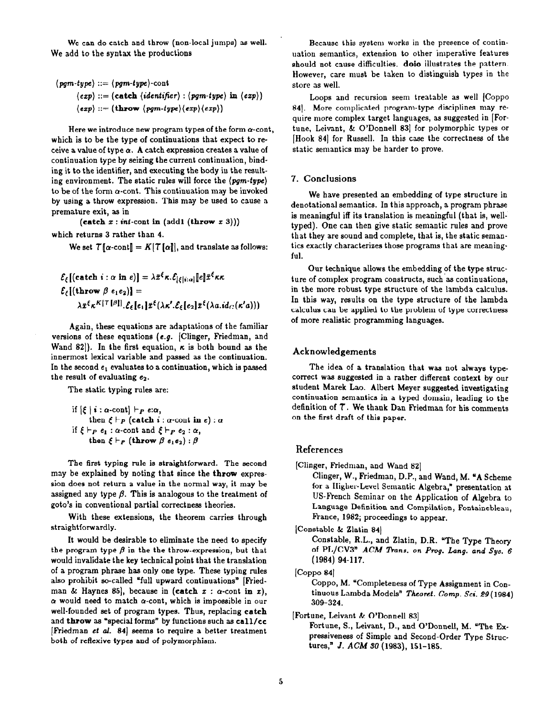We can do catch and throw (non-local jumps) as well. We add to the syntax the productions

$$
\langle pgm-type \rangle ::= \langle pgm-type \rangle \text{-cont}
$$
  

$$
\langle exp \rangle ::= \langle \text{catch} \langle \text{ identifier} \rangle : \langle pgm-type \rangle \text{ in } \langle exp \rangle
$$
  

$$
\langle exp \rangle ::= (\text{throw} \langle pgm-type \rangle \langle exp \rangle \langle exp \rangle)
$$

Here we introduce new program types of the form  $\alpha$ -cont, which is to be the type of continuations that expect to receive a value of type  $\alpha$ . A catch expression creates a value of continuation type by seizing the current continuation, binding it to the identifier, and executing the body iu the resulting environment. The static rules will force the (pgm-type) to be of the form  $\alpha$ -cont. This continuation may be invoked by using a throw expression. This may be used to cause a premature exit, as in

 $(catch x : int\text{-}cont in (add1 (throw x 3)))$ 

which returns 3 rather than 4.

We set  $\mathcal{T}[\![\alpha\text{-cont}]\!] = K[\mathcal{T}[\![\alpha]\!]]$ , and translate as follows:

$$
\mathcal{E}_{\xi}[(\text{catch } i : \alpha \text{ in } e)] = \lambda \bar{x}^{\xi} \kappa. \mathcal{E}_{|\xi|i:\alpha|} [e] \bar{x}^{\xi} \kappa \kappa
$$
  

$$
\mathcal{E}_{\xi}[(\text{throw } \beta e_1 e_2)] =
$$
  

$$
\lambda \bar{x}^{\xi} \kappa^{K|T[\beta]} \cdot \mathcal{E}_{\xi}[e_1] \bar{x}^{\xi} (\lambda \kappa'. \mathcal{E}_{\xi}[e_2] \bar{x}^{\xi} (\lambda a. id_C(\kappa' a)))
$$

Again, these equations are adaptations of the familiar versions of these equations (e.g. [Clinger, Friedman, and Wand 82]). In the first equation,  $\kappa$  is both bound as the innermost lexical variable and passed as the continuation. In the second  $e_1$  evaluates to a continuation, which is passed the result of evaluating  $e_2$ .

The static typing rules are:

if 
$$
[\xi | i : \alpha\text{-cont}] \vdash_P e:\alpha
$$
,  
\nthen  $\xi \vdash_P (\text{catch } i : \alpha\text{-cont in } e) : \alpha$   
\nif  $\xi \vdash_P e_1 : \alpha\text{-cont and } \xi \vdash_P e_2 : \alpha$ ,  
\nthen  $\xi \vdash_P (\text{throw } \beta e_1 e_2) : \beta$ 

The first typing rule is straightforward. The second may be explained by noting that since the throw expression does not return a value in the normal way, it may be assigned any type  $\beta$ . This is analogous to the treatment of goto's in conventional partial correctness theories.

With these extensions, the theorem carries through straightforwardly.

It would be desirable to eliminate the need to specify the program type  $\beta$  in the the throw-expression, but that would invalidate the key technical point that the translation of a program phrase has only one type. These typing nrles also prohibit so-called 'full upward continuations" [Friedman & Haynes 85], because in (catch  $x : \alpha$ -cont in x),  $\alpha$  would need to match  $\alpha$ -cont, which is impossible in our well-founded set of program types. Thus, replacing catch and throw as "special forms" by functions such as call/cc [Friedman et al. 84) seems to require a better treatment both of reflexive types and of polymorphism.

Because this system works in the presence of continuation semantics, extension to other imperative features should not cause difficulties. doio illustrates the pattern. However, care must be taken to distinguish types in the store as well.

Loops and recursion seem treatable as well (Coppo 84. More complicated program-type disciplines may require more complex target languages, as suggested in [Fortune, Leivant, & O'Donnell 83 for polymorphic types or [Hook 84] for Russell. In this case the correctness of the static semantics may be harder to prove.

#### 7. Conclusions

We have presented an embedding of type structure in denotational semantics. In this approach, a program phrase is meaningful iff its translation is meaningful (that is, welltyped). One can then give static semantic rules and prove that they are sound and complete, that is, the static semantics exactly characterizes those programs that are meaningful.

Our technique allows the embedding of the type structure of complex program constructs, such as continuations, in the more robust type structure of the lambda calculus. In this way, results on the type structure of the lambda calculus can be applied to the problem of type correctness of more realistic programming languages.

## Acknowledgements

The idea of a translation that was not always typecorrect was suggested in a rather different context by our student Marek Lao. Albert Meyer suggested investigating continuation semantics in a typed domain, leading to the definition of 7. We thank Dan Friedman for his comments on the first draft of this paper.

## References

[Clinger, Friedman, and Wand 82]

Clinger, W., Friedman, D.P., and Wand, M. "A Scheme for a Higher-Level Semantic Algebra," presentation at US-French Seminar on the Application of Algebra to Language Definition and Compilation, Fontainebleau, France, 1982; proceedings to appear.

[Constable & Zlatin 84]

Constable, R.L., and Zlatin, D.R. \*The Type Theory of PL/CV3" ACM Trans. on Prog. Lang. and Sys. 6 (1984) 94-117.

[Coppo 84]

Coppo, M. "Completeness of Type Assignment in Continuous Lambda Models" Theoret. Comp. Sci. 29 (1984) 309-324.

[Fortune, Leivant & O'Donnell 831

Fortune, S., Leivant, D., and O'Donnell, M. "The Expressiveness of Simple and Second-Order Type Structures," J. ACM 30 (1983), 151-185.